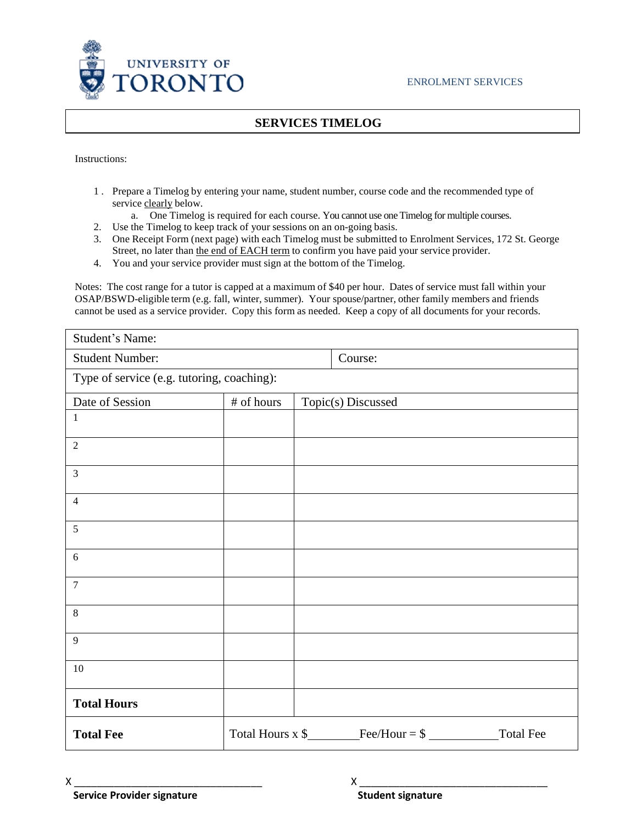

## **SERVICES TIMELOG**

Instructions:

- 1 . Prepare a Timelog by entering your name, student number, course code and the recommended type of service clearly below.
	- a. One Timelog is required for each course. You cannot use one Timelog for multiple courses.
- 2. Use the Timelog to keep track of your sessions on an on-going basis.
- 3. One Receipt Form (next page) with each Timelog must be submitted to Enrolment Services, 172 St. George Street, no later than the end of EACH term to confirm you have paid your service provider.
- 4. You and your service provider must sign at the bottom of the Timelog.

Notes: The cost range for a tutor is capped at a maximum of \$40 per hour. Dates of service must fall within your OSAP/BSWD-eligible term (e.g. fall, winter, summer). Your spouse/partner, other family members and friends cannot be used as a service provider. Copy this form as needed. Keep a copy of all documents for your records.

| Student's Name:                            |            |                    |                                           |           |  |  |
|--------------------------------------------|------------|--------------------|-------------------------------------------|-----------|--|--|
| <b>Student Number:</b>                     |            |                    | Course:                                   |           |  |  |
| Type of service (e.g. tutoring, coaching): |            |                    |                                           |           |  |  |
| Date of Session                            | # of hours | Topic(s) Discussed |                                           |           |  |  |
| $\mathbf{1}$                               |            |                    |                                           |           |  |  |
| $\sqrt{2}$                                 |            |                    |                                           |           |  |  |
| $\mathfrak{Z}$                             |            |                    |                                           |           |  |  |
| $\overline{4}$                             |            |                    |                                           |           |  |  |
| 5                                          |            |                    |                                           |           |  |  |
| 6                                          |            |                    |                                           |           |  |  |
| $\overline{7}$                             |            |                    |                                           |           |  |  |
| $\,8\,$                                    |            |                    |                                           |           |  |  |
| 9                                          |            |                    |                                           |           |  |  |
| $10\,$                                     |            |                    |                                           |           |  |  |
| <b>Total Hours</b>                         |            |                    |                                           |           |  |  |
| <b>Total Fee</b>                           |            |                    | Total Hours x $\frac{1}{2}$ Fee/Hour = \$ | Total Fee |  |  |